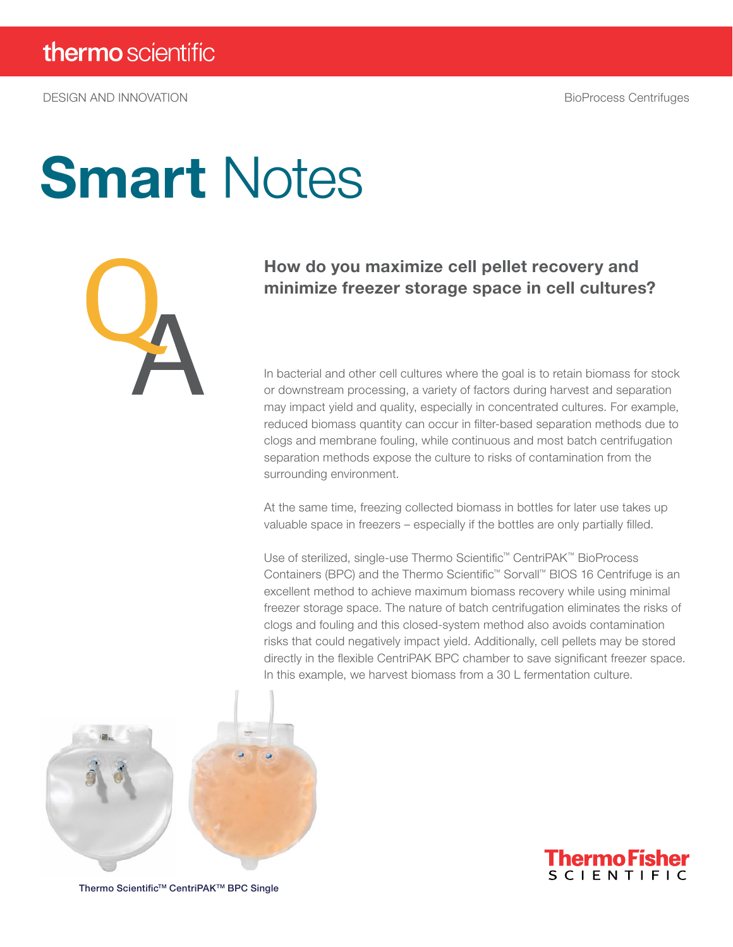# **Smart Notes**



### How do you maximize cell pellet recovery and minimize freezer storage space in cell cultures?

In bacterial and other cell cultures where the goal is to retain biomass for stock or downstream processing, a variety of factors during harvest and separation may impact yield and quality, especially in concentrated cultures. For example, reduced biomass quantity can occur in filter-based separation methods due to clogs and membrane fouling, while continuous and most batch centrifugation separation methods expose the culture to risks of contamination from the surrounding environment.

At the same time, freezing collected biomass in bottles for later use takes up valuable space in freezers – especially if the bottles are only partially filled.

Use of sterilized, single-use Thermo Scientific™ CentriPAK™ BioProcess Containers (BPC) and the Thermo Scientific™ Sorvall™ BIOS 16 Centrifuge is an excellent method to achieve maximum biomass recovery while using minimal freezer storage space. The nature of batch centrifugation eliminates the risks of clogs and fouling and this closed-system method also avoids contamination risks that could negatively impact yield. Additionally, cell pellets may be stored directly in the flexible CentriPAK BPC chamber to save significant freezer space. In this example, we harvest biomass from a 30 L fermentation culture.